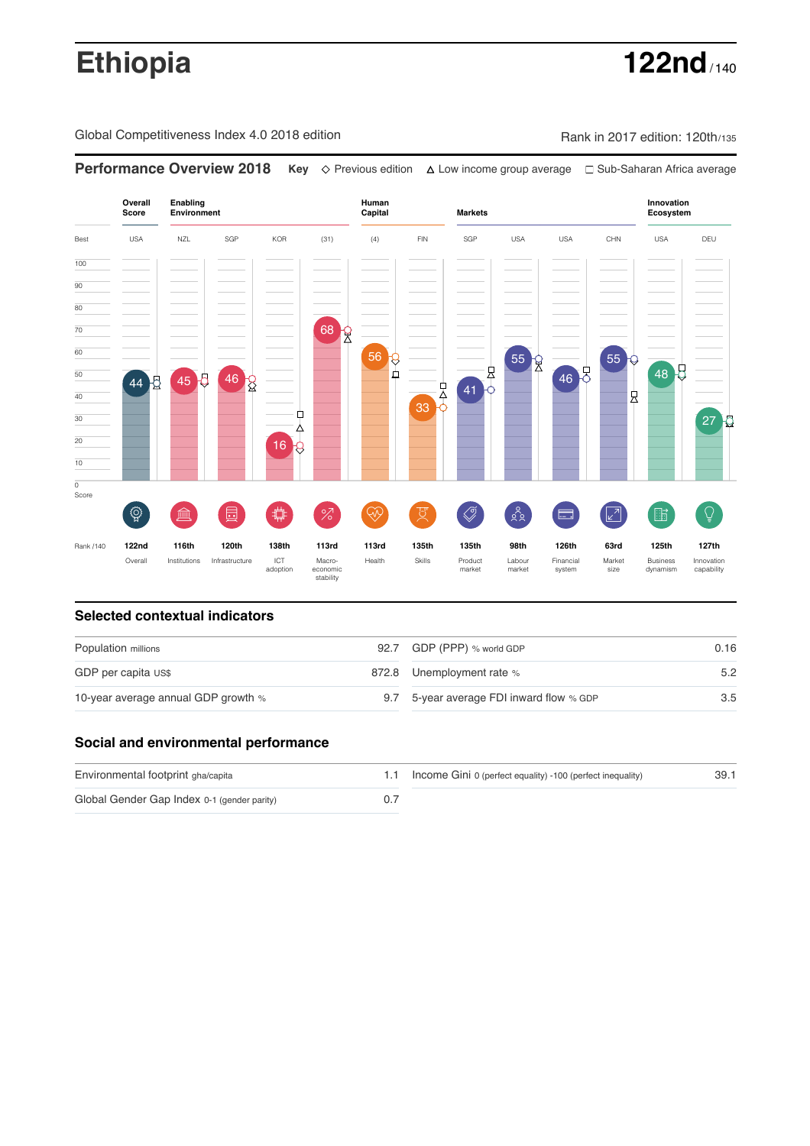Global Competitiveness Index 4.0 2018 edition Rank in 2017 edition: 120th/135

**Performance Overview 2018 Key** Previous edition Low income group average Sub-Saharan Africa average

**Overall Innovation Enabling Environment Human Capital Markets Score Ecosystem** Best USA NZL SGP KOR (31) (4) FIN SGP USA USA CHN USA DEU 100  $\overline{90}$ 80 70 68 R 60 56 8  $55)$ 55 良 46 8 48 5 50 44  $\frac{1}{2}$  45  $\frac{1}{6}$  46  $\frac{1}{2}$  $\frac{1}{33}$  $\frac{1}{41}$ 40  $\overline{\mathsf{R}}$ Ò 30  $27<sup>1</sup>$ Δ 20  $16<sup>2</sup>$ 10  $\overline{\text{o}}$ Score ៍{៌្ម}  $\overline{\mathcal{S}}$ ်ဇို  $\overline{Q}$ **ledge (** 屵 %)(  $\circledcirc$  ( स 击  $\sqrt{2}$ 酯 E Rank /140 **122nd 116th 120th 138th 113rd 113rd 135th 135th 98th 126th 63rd 125th 127th** Overall Institutions Infrastructure ICT<br>adoption adoption Macro- economic stability Health Skills Product market Labour<br>market Financial system Market size Business dynamism Innovation capability

### **Selected contextual indicators**

| Population millions                 | 92.7 GDP (PPP) % world GDP               | 0.16 |  |
|-------------------------------------|------------------------------------------|------|--|
| GDP per capita US\$                 | 872.8 Unemployment rate %                | 5.2  |  |
| 10-year average annual GDP growth % | 9.7 5-year average FDI inward flow % GDP | 3.5  |  |

## **Social and environmental performance**

| Environmental footprint gha/capita          | 1.1 Income Gini 0 (perfect equality) -100 (perfect inequality) | 39.1 |
|---------------------------------------------|----------------------------------------------------------------|------|
| Global Gender Gap Index 0-1 (gender parity) |                                                                |      |

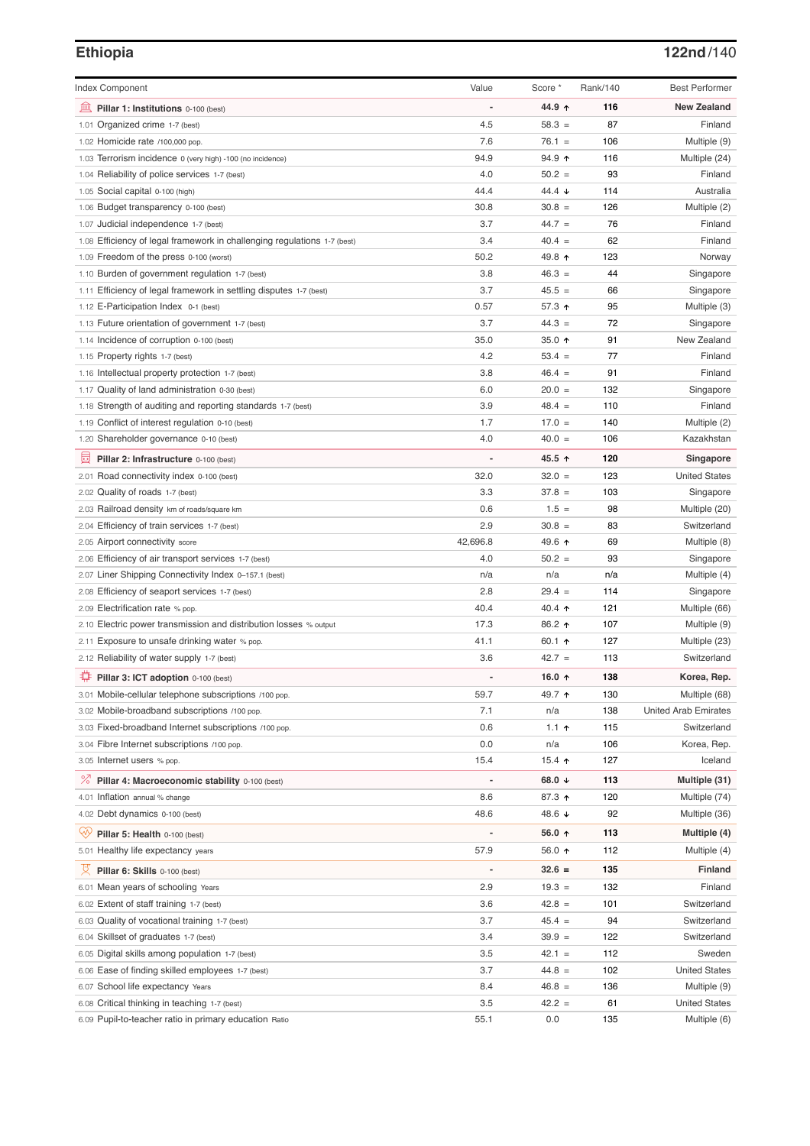# **Ethiopia 122nd**/140

| <b>Index Component</b>                                                                                  | Value          | Score *              | Rank/140  | <b>Best Performer</b>                |
|---------------------------------------------------------------------------------------------------------|----------------|----------------------|-----------|--------------------------------------|
| 皿<br>Pillar 1: Institutions 0-100 (best)                                                                |                | 44.9 ↑               | 116       | <b>New Zealand</b>                   |
| 1.01 Organized crime 1-7 (best)                                                                         | 4.5            | $58.3 =$             | 87        | Finland                              |
| 1.02 Homicide rate /100,000 pop.                                                                        | 7.6            | $76.1 =$             | 106       | Multiple (9)                         |
| 1.03 Terrorism incidence 0 (very high) -100 (no incidence)                                              | 94.9           | $94.9$ ↑             | 116       | Multiple (24)                        |
| 1.04 Reliability of police services 1-7 (best)                                                          | 4.0            | $50.2 =$             | 93        | Finland                              |
| 1.05 Social capital 0-100 (high)                                                                        | 44.4           | 44.4 $\sqrt{ }$      | 114       | Australia                            |
| 1.06 Budget transparency 0-100 (best)                                                                   | 30.8           | $30.8 =$             | 126       | Multiple (2)                         |
| 1.07 Judicial independence 1-7 (best)                                                                   | 3.7            | $44.7 =$             | 76        | Finland                              |
| 1.08 Efficiency of legal framework in challenging regulations 1-7 (best)                                | 3.4            | $40.4 =$             | 62        | Finland                              |
| 1.09 Freedom of the press 0-100 (worst)                                                                 | 50.2           | 49.8 ↑               | 123       | Norway                               |
| 1.10 Burden of government regulation 1-7 (best)                                                         | 3.8            | $46.3 =$             | 44        | Singapore                            |
| 1.11 Efficiency of legal framework in settling disputes 1-7 (best)                                      | 3.7            | $45.5 =$             | 66        | Singapore                            |
| 1.12 E-Participation Index 0-1 (best)                                                                   | 0.57           | 57.3 ↑               | 95        | Multiple (3)                         |
| 1.13 Future orientation of government 1-7 (best)                                                        | 3.7            | $44.3 =$             | 72        | Singapore                            |
| 1.14 Incidence of corruption 0-100 (best)                                                               | 35.0           | 35.0 $\uparrow$      | 91        | New Zealand                          |
| 1.15 Property rights 1-7 (best)                                                                         | 4.2            | $53.4 =$             | 77        | Finland                              |
| 1.16 Intellectual property protection 1-7 (best)                                                        | 3.8            | $46.4 =$             | 91        | Finland                              |
| 1.17 Quality of land administration 0-30 (best)                                                         | 6.0            | $20.0 =$             | 132       | Singapore                            |
| 1.18 Strength of auditing and reporting standards 1-7 (best)                                            | 3.9            | $48.4 =$             | 110       | Finland                              |
| 1.19 Conflict of interest regulation 0-10 (best)                                                        | 1.7            | $17.0 =$             | 140       | Multiple (2)                         |
| 1.20 Shareholder governance 0-10 (best)                                                                 | 4.0            | $40.0 =$             | 106       | Kazakhstan                           |
|                                                                                                         | $\overline{a}$ |                      |           |                                      |
| 圓<br>Pillar 2: Infrastructure 0-100 (best)                                                              |                | 45.5 ↑               | 120       | Singapore                            |
| 2.01 Road connectivity index 0-100 (best)                                                               | 32.0           | $32.0 =$             | 123       | <b>United States</b>                 |
| 2.02 Quality of roads 1-7 (best)                                                                        | 3.3            | $37.8 =$             | 103       | Singapore                            |
| 2.03 Railroad density km of roads/square km                                                             | 0.6            | $1.5 =$              | 98        | Multiple (20)                        |
| 2.04 Efficiency of train services 1-7 (best)                                                            | 2.9            | $30.8 =$             | 83        | Switzerland                          |
| 2.05 Airport connectivity score                                                                         | 42,696.8       | 49.6 ↑               | 69        | Multiple (8)                         |
| 2.06 Efficiency of air transport services 1-7 (best)                                                    | 4.0            | $50.2 =$             | 93        | Singapore                            |
| 2.07 Liner Shipping Connectivity Index 0-157.1 (best)                                                   | n/a            | n/a                  | n/a       | Multiple (4)                         |
| 2.08 Efficiency of seaport services 1-7 (best)                                                          | 2.8            | $29.4 =$             | 114       | Singapore                            |
| 2.09 Electrification rate % pop.                                                                        | 40.4           | 40.4 $\uparrow$      | 121       | Multiple (66)                        |
| 2.10 Electric power transmission and distribution losses % output                                       | 17.3           | 86.2 ↑               | 107       | Multiple (9)                         |
| 2.11 Exposure to unsafe drinking water % pop.                                                           | 41.1           | 60.1 $\uparrow$      | 127       | Multiple (23)                        |
| 2.12 Reliability of water supply 1-7 (best)                                                             | 3.6            | $42.7 =$             | 113       | Switzerland                          |
| ₽<br>Pillar 3: ICT adoption 0-100 (best)                                                                |                | 16.0 $\uparrow$      | 138       | Korea, Rep.                          |
| 3.01 Mobile-cellular telephone subscriptions /100 pop.                                                  | 59.7           | 49.7 ↑               | 130       | Multiple (68)                        |
| 3.02 Mobile-broadband subscriptions /100 pop.                                                           | 7.1            | n/a                  | 138       | <b>United Arab Emirates</b>          |
| 3.03 Fixed-broadband Internet subscriptions /100 pop.                                                   | 0.6            | 1.1 $\uparrow$       | 115       | Switzerland                          |
| 3.04 Fibre Internet subscriptions /100 pop.                                                             | 0.0            | n/a                  | 106       | Korea, Rep.                          |
| 3.05 Internet users % pop.                                                                              | 15.4           | 15.4 $\uparrow$      | 127       | Iceland                              |
| <sup>%</sup> Pillar 4: Macroeconomic stability 0-100 (best)                                             | $\overline{a}$ | 68.0 $\sqrt{ }$      | 113       | Multiple (31)                        |
| 4.01 Inflation annual % change                                                                          | 8.6            | 87.3 ↑               | 120       | Multiple (74)                        |
| 4.02 Debt dynamics 0-100 (best)                                                                         | 48.6           | 48.6 ↓               | 92        | Multiple (36)                        |
| ųÿ<br>Pillar 5: Health 0-100 (best)                                                                     |                | 56.0 ↑               | 113       | Multiple (4)                         |
| 5.01 Healthy life expectancy years                                                                      | 57.9           | 56.0 ↑               | 112       | Multiple (4)                         |
| 섯<br>Pillar 6: Skills 0-100 (best)                                                                      | $\overline{a}$ | $32.6 =$             | 135       | <b>Finland</b>                       |
| 6.01 Mean years of schooling Years                                                                      | 2.9            | $19.3 =$             | 132       | Finland                              |
| 6.02 Extent of staff training 1-7 (best)                                                                | 3.6            | $42.8 =$             | 101       | Switzerland                          |
| 6.03 Quality of vocational training 1-7 (best)                                                          | 3.7            | $45.4 =$             | 94        | Switzerland                          |
| 6.04 Skillset of graduates 1-7 (best)                                                                   | 3.4            | $39.9 =$             | 122       | Switzerland                          |
|                                                                                                         | 3.5            | $42.1 =$             | 112       | Sweden                               |
| 6.05 Digital skills among population 1-7 (best)                                                         |                |                      |           | <b>United States</b>                 |
| 6.06 Ease of finding skilled employees 1-7 (best)                                                       | 3.7            | $44.8 =$             | 102       |                                      |
| 6.07 School life expectancy Years                                                                       | 8.4<br>3.5     | $46.8 =$<br>$42.2 =$ | 136<br>61 | Multiple (9)<br><b>United States</b> |
| 6.08 Critical thinking in teaching 1-7 (best)<br>6.09 Pupil-to-teacher ratio in primary education Ratio | 55.1           | 0.0                  | 135       | Multiple (6)                         |
|                                                                                                         |                |                      |           |                                      |